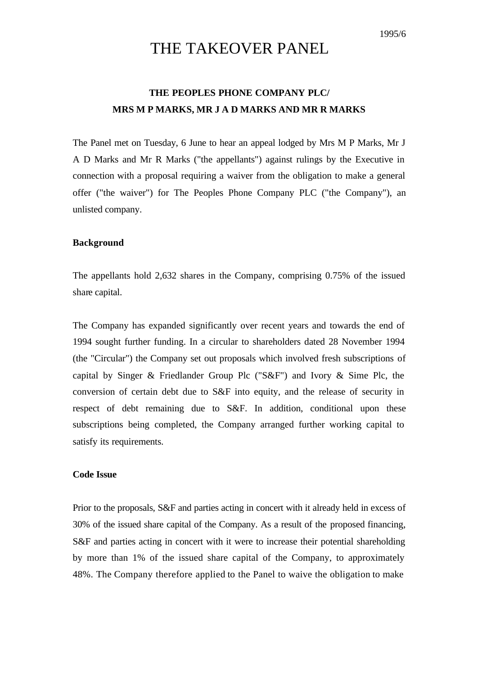# THE TAKEOVER PANEL

## **THE PEOPLES PHONE COMPANY PLC/ MRS M P MARKS, MR J A D MARKS AND MR R MARKS**

The Panel met on Tuesday, 6 June to hear an appeal lodged by Mrs M P Marks, Mr J A D Marks and Mr R Marks ("the appellants") against rulings by the Executive in connection with a proposal requiring a waiver from the obligation to make a general offer ("the waiver") for The Peoples Phone Company PLC ("the Company"), an unlisted company.

#### **Background**

The appellants hold 2,632 shares in the Company, comprising 0.75% of the issued share capital.

The Company has expanded significantly over recent years and towards the end of 1994 sought further funding. In a circular to shareholders dated 28 November 1994 (the "Circular") the Company set out proposals which involved fresh subscriptions of capital by Singer & Friedlander Group Plc (" $S\&F$ ") and Ivory & Sime Plc, the conversion of certain debt due to S&F into equity, and the release of security in respect of debt remaining due to S&F. In addition, conditional upon these subscriptions being completed, the Company arranged further working capital to satisfy its requirements.

#### **Code Issue**

Prior to the proposals, S&F and parties acting in concert with it already held in excess of 30% of the issued share capital of the Company. As a result of the proposed financing, S&F and parties acting in concert with it were to increase their potential shareholding by more than 1% of the issued share capital of the Company, to approximately 48%. The Company therefore applied to the Panel to waive the obligation to make